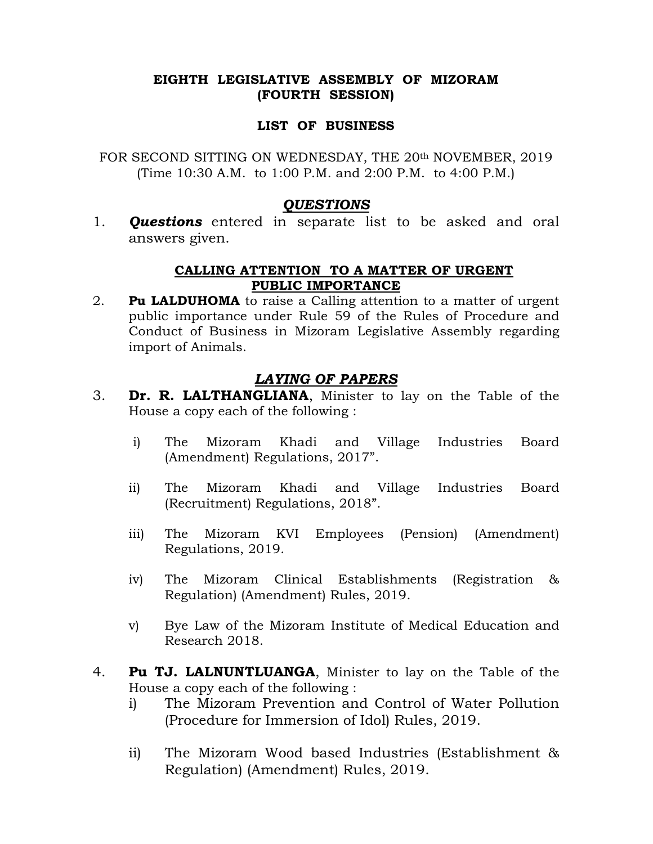### EIGHTH LEGISLATIVE ASSEMBLY OF MIZORAM (FOURTH SESSION)

#### LIST OF BUSINESS

FOR SECOND SITTING ON WEDNESDAY, THE 20th NOVEMBER, 2019 (Time 10:30 A.M. to 1:00 P.M. and 2:00 P.M. to 4:00 P.M.)

### QUESTIONS

1. **Questions** entered in separate list to be asked and oral answers given.

### CALLING ATTENTION TO A MATTER OF URGENT PUBLIC IMPORTANCE

2. **Pu LALDUHOMA** to raise a Calling attention to a matter of urgent public importance under Rule 59 of the Rules of Procedure and Conduct of Business in Mizoram Legislative Assembly regarding import of Animals.

# LAYING OF PAPERS

- 3. Dr. R. LALTHANGLIANA, Minister to lay on the Table of the House a copy each of the following :
	- i) The Mizoram Khadi and Village Industries Board (Amendment) Regulations, 2017".
	- ii) The Mizoram Khadi and Village Industries Board (Recruitment) Regulations, 2018".
	- iii) The Mizoram KVI Employees (Pension) (Amendment) Regulations, 2019.
	- iv) The Mizoram Clinical Establishments (Registration & Regulation) (Amendment) Rules, 2019.
	- v) Bye Law of the Mizoram Institute of Medical Education and Research 2018.
- 4. **Pu TJ. LALNUNTLUANGA**, Minister to lay on the Table of the House a copy each of the following :
	- i) The Mizoram Prevention and Control of Water Pollution (Procedure for Immersion of Idol) Rules, 2019.
	- ii) The Mizoram Wood based Industries (Establishment & Regulation) (Amendment) Rules, 2019.